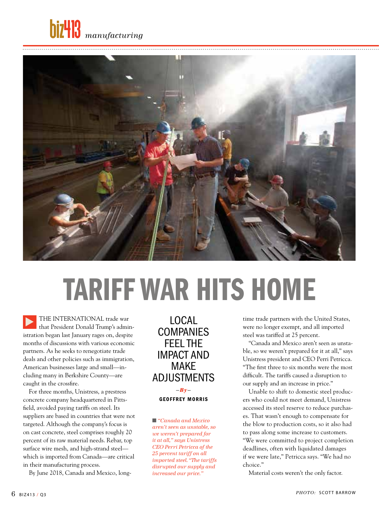



# Tariff War hits home

THE INTERNATIONAL trade war that President Donald Trump's administration began last January rages on, despite months of discussions with various economic partners. As he seeks to renegotiate trade deals and other policies such as immigration, American businesses large and small—including many in Berkshire County—are caught in the crossfire. ▶

For three months, Unistress, a prestress concrete company headquartered in Pittsfield, avoided paying tariffs on steel. Its suppliers are based in countries that were not targeted. Although the company's focus is on cast concrete, steel comprises roughly 20 percent of its raw material needs. Rebar, top surface wire mesh, and high-strand steel which is imported from Canada—are critical in their manufacturing process.

By June 2018, Canada and Mexico, long-

Local **COMPANIES** feel the impact and make adjustments

**—By** geoffrey Morris

■ *"Canada and Mexico aren't seen as unstable, so we weren't prepared for it at all," says Unistress CEO Perri Petricca of the 25 percent tariff on all imported steel. "The tariffs disrupted our supply and increased our price."*

time trade partners with the United States, were no longer exempt, and all imported steel was tariffed at 25 percent.

"Canada and Mexico aren't seen as unstable, so we weren't prepared for it at all," says Unistress president and CEO Perri Petricca. "The first three to six months were the most difficult. The tariffs caused a disruption to our supply and an increase in price."

Unable to shift to domestic steel producers who could not meet demand, Unistress accessed its steel reserve to reduce purchases. That wasn't enough to compensate for the blow to production costs, so it also had to pass along some increase to customers. "We were committed to project completion deadlines, often with liquidated damages if we were late," Petricca says. "We had no choice."

Material costs weren't the only factor.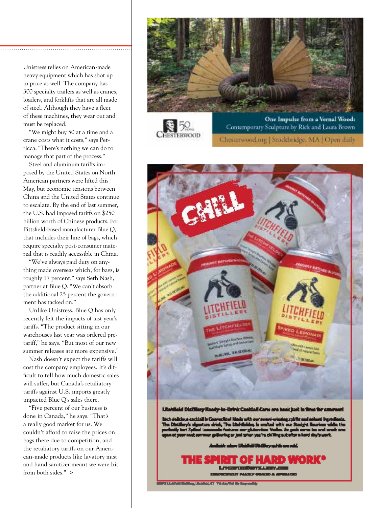Unistress relies on American-made heavy equipment which has shot up in price as well. The company has 300 specialty trailers as well as cranes, loaders, and forklifts that are all made of steel. Although they have a fleet of these machines, they wear out and must be replaced.

"We might buy 50 at a time and a crane costs what it costs," says Petricca. "There's nothing we can do to manage that part of the process."

Steel and aluminum tariffs imposed by the United States on North American partners were lifted this May, but economic tensions between China and the United States continue to escalate. By the end of last summer, the U.S. had imposed tariffs on \$250 billion worth of Chinese products. For Pittsfield-based manufacturer Blue Q, that includes their line of bags, which require specialty post-consumer material that is readily accessible in China.

"We've always paid duty on anything made overseas which, for bags, is roughly 17 percent," says Seth Nash, partner at Blue Q. "We can't absorb the additional 25 percent the government has tacked on."

Unlike Unistress, Blue Q has only recently felt the impacts of last year's tariffs. "The product sitting in our warehouses last year was ordered pretariff," he says. "But most of our new summer releases are more expensive."

Nash doesn't expect the tariffs will cost the company employees. It's difficult to tell how much domestic sales will suffer, but Canada's retaliatory tariffs against U.S. imports greatly impacted Blue Q's sales there.

"Five percent of our business is done in Canada," he says. "That's a really good market for us. We couldn't afford to raise the prices on bags there due to competition, and the retaliatory tariffs on our American-made products like lavatory mist and hand sanitizer meant we were hit from both sides." >



Chesterwood.org | Stockbridge, MA | Open daily

**IESTERWOOD** 



**BU-MAIN** a Linking of The Showell By B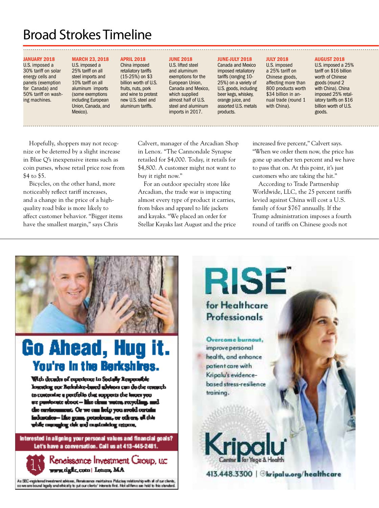### Broad Strokes Timeline

U.S. imposed a 25% tariff on all steel imports and 10% tariff on all aluminum imports (some exemptions including European Union, Canada, and Mexico).

### January 2018

U.S. imposed a 30% tariff on solar energy cells and panels (exemption for Canada) and 50% tariff on washing machines.

### March 23, 2018

**APRIL 2018** China imposed retaliatory tariffs (15-25%) on \$3 billion worth of U.S. fruits, nuts, pork and wine to protest new U.S. steel and aluminum tariffs.

### **JUNE 2018**

U.S. lifted steel and aluminum exemptions for the European Union, Canada and Mexico, which supplied almost half of U.S. steel and aluminum imports in 2017.

### June-JULY 2018

Canada and Mexico imposed retaliatory tariffs (ranging 10- 25%) on a variety of U.S. goods, including beer kegs, whiskey, orange juice, and assorted U.S. metals products. U.S. imposed a 25% tariff on Chinese goods, affecting more than 800 products worth \$34 billion in annual trade (round 1 with China).

July 2018

### August 2018

U.S. imposed a 25% tariff on \$16 billion worth of Chinese goods (round 2 with China). China imposed 25% retaliatory tariffs on \$16 billion worth of U.S. goods.

Hopefully, shoppers may not recognize or be deterred by a slight increase in Blue Q's inexpensive items such as coin purses, whose retail price rose from \$4 to \$5.

Bicycles, on the other hand, more noticeably reflect tariff increases, and a change in the price of a highquality road bike is more likely to affect customer behavior. "Bigger items have the smallest margin," says Chris

Calvert, manager of the Arcadian Shop in Lenox. "The Cannondale Synapse retailed for \$4,000. Today, it retails for \$4,800. A customer might not want to buy it right now."

For an outdoor specialty store like Arcadian, the trade war is impacting almost every type of product it carries, from bikes and apparel to life jackets and kayaks. "We placed an order for Stellar Kayaks last August and the price increased five percent," Calvert says. "When we order them now, the price has gone up another ten percent and we have to pass that on. At this point, it's just customers who are taking the hit."

According to Trade Partnership Worldwide, LLC, the 25 percent tariffs levied against China will cost a U.S. family of four \$767 annually. If the Trump administration imposes a fourth round of tariffs on Chinese goods not



## Go Ahead, Hug it. You're in the Berkshires.

With decades of experience in Socially Responsible losesting our Bedublie-based advisors can do the research to contentre a perifelio that repperts the intersyee we pumboute aboot - like clean water, recycling, and the continuument. Or we can help you avoid certain industries-like gum, petroleum, or others, el this while anyongkay citic and constructing account,

Interested in aligning your personal values and financial goals? Let's have a conversation. Call us at 413-445-2481.



As SEC-registered investment advises, Penatsasnos maintaines Fiducias; relationship with all of our clients,<br>so we are bound legally and ethically to put our clients' interests first. Not all firms are held to this standar